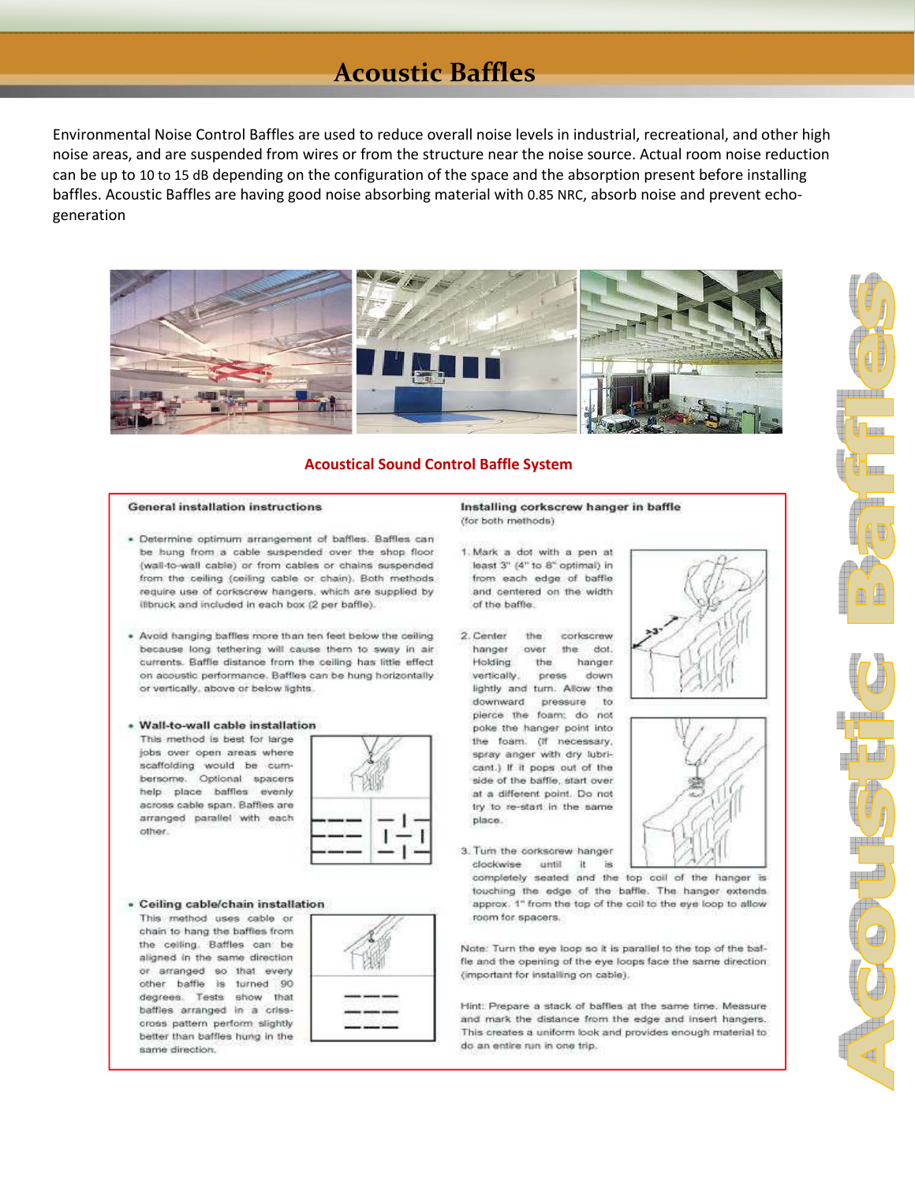## **Acoustic Baffles**

Environmental Noise Control Baffles are used to reduce overall noise levels in industrial, recreational, and other high noise areas, and are suspended from wires or from the structure near the noise source. Actual room noise reduction can be up to 10 to 15 dB depending on the configuration of the space and the absorption present before installing baffles. Acoustic Baffles are having good noise absorbing material with 0.85 NRC, absorb noise and prevent echogeneration



## **Acoustical Sound Control Baffle System**

### **General installation instructions**

- · Determine optimum arrangement of baffles. Baffles can be hung from a cable suspended over the shop floor (wall-to-wall cable) or from cables or chains suspended from the ceiling (ceiling cable or chain). Both methods require use of corkscrew hangers, which are supplied by illbruck and included in each box (2 per baffle).
- . Avoid hanging baffles more than ten feet below the ceiling because long tethering will cause them to sway in air currents. Baffle distance from the ceiling has little effect on acoustic performance. Baffles can be hung horizontally or vertically, above or below lights.

## · Wall-to-wall cable installation

This method is best for large jobs over open areas where scaffolding would be cumbersome. Optional spacers help place baffles evenly across cable span. Baffles are arranged parallel with each other.

#### - Ceiling cable/chain installation

This method uses cable or chain to hang the baffies from the ceiling. Baffles can be aligned in the same direction or arranged so that every other baffle is turned 90 degrees. Tests show that baffles arranged in a crisscross pattern perform slightly better than baffles hung in the same direction.



### Installing corkscrew hanger in baffle (for both methods)

- 1. Mark a dot with a pen at least 3" (4" to 8" optimal) in from each edge of baffle and centered on the width of the baffle.
- 2. Center the corkscrew hanger over the dot. Holding the hanger vertically. down press lightly and turn. Allow the downward pressure to pierce the foam: do not poke the hanger point into the foam. (if necessary, spray anger with dry lubricant.) If it pops out of the side of the baffle, start over at a different point. Do not try to re-start in the same place.
- 3. Turn the corkscrew hanger clockwise until **TE** is.

completely seated and the top coil of the hanger is touching the edge of the baffle. The hanger extends approx. 1" from the top of the coil to the eye loop to allow room for spacers.

Note: Turn the eye loop so it is parallel to the top of the baffle and the opening of the eye loops face the same direction (important for installing on cable).

Hint: Prepare a stack of baffles at the same time. Measure and mark the distance from the edge and insert hangers. This creates a uniform look and provides enough material to do an entire run in one trip.





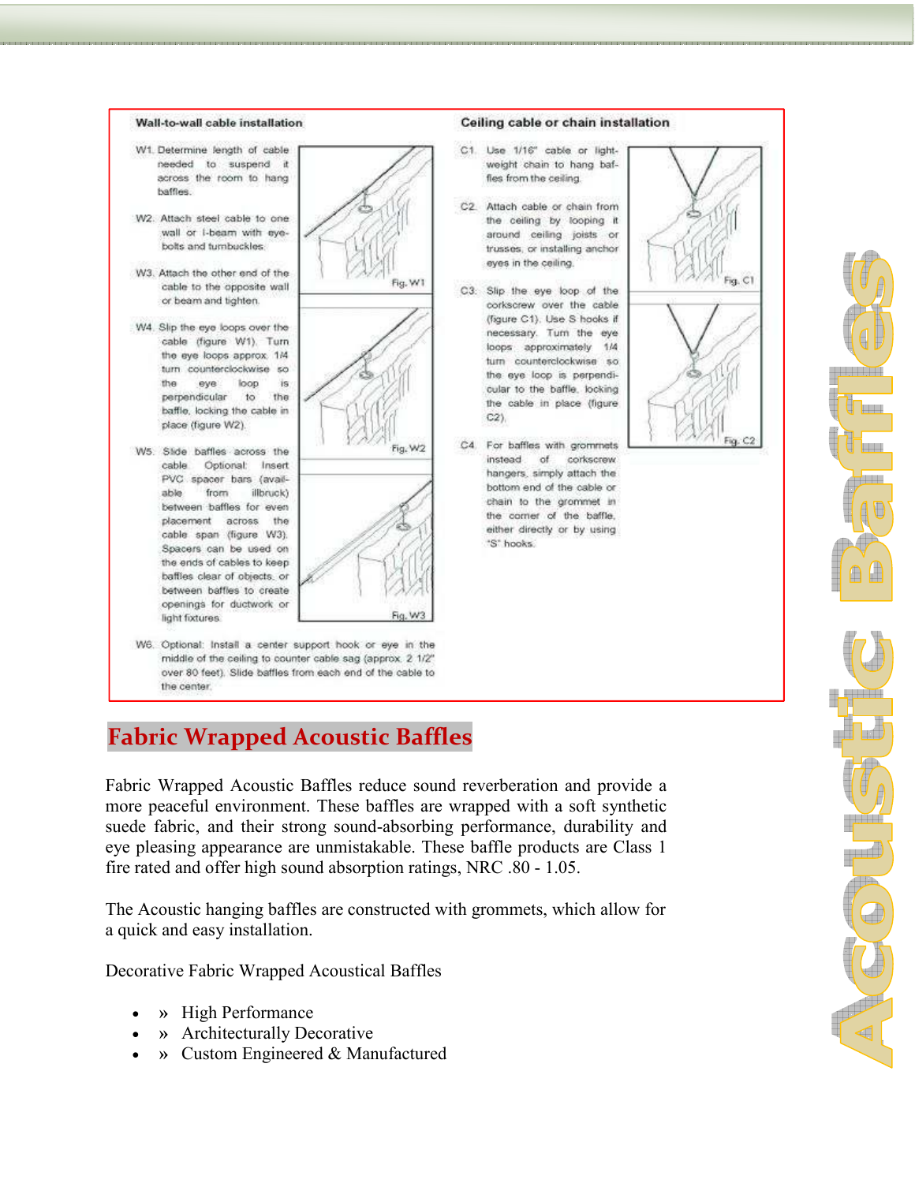

## **Fabric Wrapped Acoustic Baffles**

Fabric Wrapped Acoustic Baffles reduce sound reverberation and provide a more peaceful environment. These baffles are wrapped with a soft synthetic suede fabric, and their strong sound-absorbing performance, durability and eye pleasing appearance are unmistakable. These baffle products are Class 1 fire rated and offer high sound absorption ratings, NRC .80 - 1.05.

The Acoustic hanging baffles are constructed with grommets, which allow for a quick and easy installation.

Decorative Fabric Wrapped Acoustical Baffles

- **»** High Performance
- **»** Architecturally Decorative
- **»** Custom Engineered & Manufactured